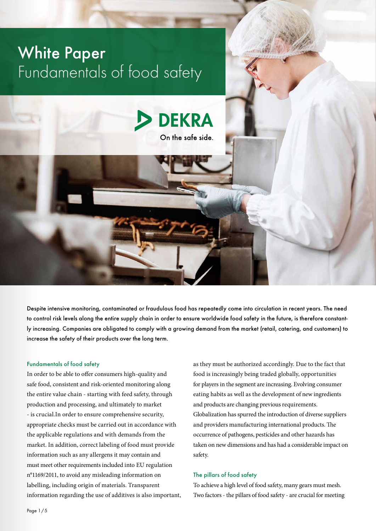

Despite intensive monitoring, contaminated or fraudulous food has repeatedly come into circulation in recent years. The need to control risk levels along the entire supply chain in order to ensure worldwide food safety in the future, is therefore constantly increasing. Companies are obligated to comply with a growing demand from the market (retail, catering, and customers) to increase the safety of their products over the long term.

### Fundamentals of food safety

In order to be able to offer consumers high-quality and safe food, consistent and risk-oriented monitoring along the entire value chain - starting with feed safety, through production and processing, and ultimately to market - is crucial.In order to ensure comprehensive security, appropriate checks must be carried out in accordance with the applicable regulations and with demands from the market. In addition, correct labeling of food must provide information such as any allergens it may contain and must meet other requirements included into EU regulation n°1169/2011, to avoid any misleading information on labelling, including origin of materials. Transparent information regarding the use of additives is also important, as they must be authorized accordingly. Due to the fact that food is increasingly being traded globally, opportunities for players in the segment are increasing. Evolving consumer eating habits as well as the development of new ingredients and products are changing previous requirements. Globalization has spurred the introduction of diverse suppliers and providers manufacturing international products. The occurrence of pathogens, pesticides and other hazards has taken on new dimensions and has had a considerable impact on safety.

### The pillars of food safety

To achieve a high level of food safety, many gears must mesh. Two factors - the pillars of food safety - are crucial for meeting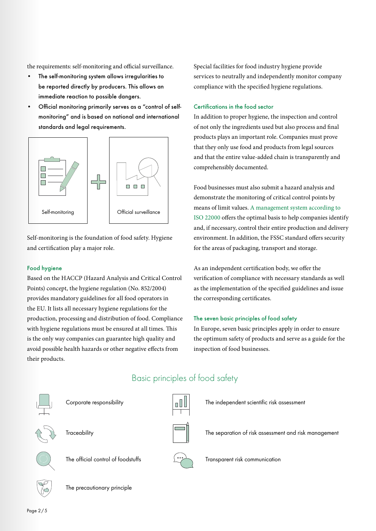the requirements: self-monitoring and official surveillance.

- The self-monitoring system allows irregularities to be reported directly by producers. This allows an immediate reaction to possible dangers.
- Official monitoring primarily serves as a "control of selfmonitoring" and is based on national and international standards and legal requirements.



Self-monitoring is the foundation of food safety. Hygiene and certification play a major role.

# Food hygiene

Based on the HACCP (Hazard Analysis and Critical Control Points) concept, the hygiene regulation (No. 852/2004) provides mandatory guidelines for all food operators in the EU. It lists all necessary hygiene regulations for the production, processing and distribution of food. Compliance with hygiene regulations must be ensured at all times. This is the only way companies can guarantee high quality and avoid possible health hazards or other negative effects from their products.

Special facilities for food industry hygiene provide services to neutrally and independently monitor company compliance with the specified hygiene regulations.

### Certifications in the food sector

In addition to proper hygiene, the inspection and control of not only the ingredients used but also process and final products plays an important role. Companies must prove that they only use food and products from legal sources and that the entire value-added chain is transparently and comprehensibly documented.

Food businesses must also submit a hazard analysis and demonstrate the monitoring of critical control points by means of limit values. [A management system according to](https://www.dekra.com/en/iso-22000/)  [ISO 22000](https://www.dekra.com/en/iso-22000/) offers the optimal basis to help companies identify and, if necessary, control their entire production and delivery environment. In addition, the FSSC standard offers security for the areas of packaging, transport and storage.

As an independent certification body, we offer the verification of compliance with necessary standards as well as the implementation of the specified guidelines and issue the corresponding certificates.

#### The seven basic principles of food safety

In Europe, seven basic principles apply in order to ensure the optimum safety of products and serve as a guide for the inspection of food businesses.

The separation of risk assessment and risk management



Corporate responsibility



**Traceability** 





Basic principles of food safety

Transparent risk communication

The independent scientific risk assessment



The precautionary principle

Page 2/5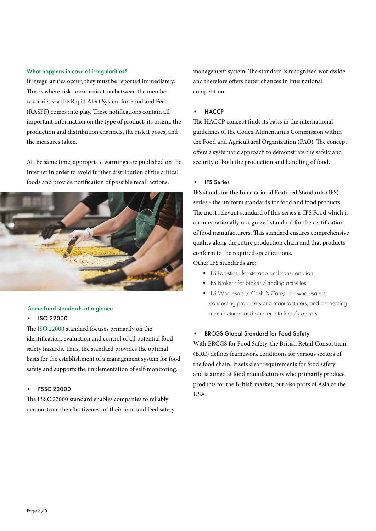### What happens in case of irregularities?

If irregularities occur, they must be reported immediately. This is where risk communication between the member countries via the Rapid Alert System for Food and Feed (RASFF) comes into play. These notifications contain all important information on the type of product, its origin, the production and distribution channels, the risk it poses, and the measures taken.

At the same time, appropriate warnings are published on the Internet in order to avoid further distribution of the critical foods and provide notification of possible recall actions.



# Some food standards at a glance

### • ISO 22000

The [ISO 22000](https://www.dekra.com/en/iso-22000/) standard focuses primarily on the identification, evaluation and control of all potential food safety hazards. Thus, the standard provides the optimal basis for the establishment of a management system for food safety and supports the implementation of self-monitoring.

### • FSSC 22000

The FSSC 22000 standard enables companies to reliably demonstrate the effectiveness of their food and feed safety management system. The standard is recognized worldwide and therefore offers better chances in international competition.

### • HACCP

The HACCP concept finds its basis in the international guidelines of the Codex Alimentarius Commission within the Food and Agricultural Organization (FAO). The concept offers a systematic approach to demonstrate the safety and security of both the production and handling of food.

#### • IFS Series

IFS stands for the International Featured Standards (IFS) series - the uniform standards for food and food products. The most relevant standard of this series is IFS Food which is an internationally recognized standard for the certification of food manufacturers. This standard ensures comprehensive quality along the entire production chain and that products conform to the required specifications.

Other IFS standards are:

- IFS Logistics : for storage and transportation
- IFS Broker : for broker / trading activities
- IFS Wholesale / Cash & Carry : for wholesalers, connecting producers and manufacturers, and connecting manufacturers and smaller retailers / caterers

#### • BRCGS Global Standard for Food Safety

With BRCGS for Food Safety, the British Retail Consortium (BRC) defines framework conditions for various sectors of the food chain. It sets clear requirements for food safety and is aimed at food manufacturers who primarily produce products for the British market, but also parts of Asia or the USA.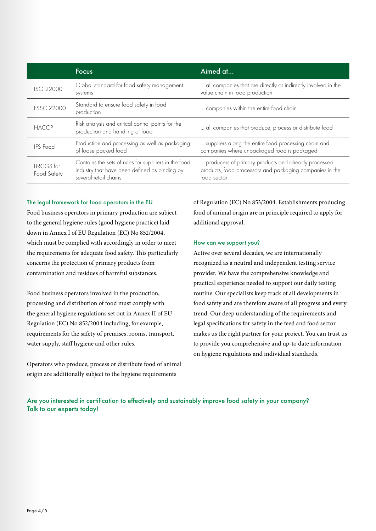|                                 | <b>Focus</b>                                                                                                                   | Aimed at                                                                                                                       |
|---------------------------------|--------------------------------------------------------------------------------------------------------------------------------|--------------------------------------------------------------------------------------------------------------------------------|
| ISO 22000                       | Global standard for food safety management<br>systems                                                                          | all companies that are directly or indirectly involved in the<br>value chain in food production                                |
| <b>FSSC 22000</b>               | Standard to ensure food safety in food<br>production                                                                           | companies within the entire food chain                                                                                         |
| <b>HACCP</b>                    | Risk analysis and critical control points for the<br>production and handling of food                                           | all companies that produce, process or distribute food                                                                         |
| <b>IFS</b> Food                 | Production and processing as well as packaging<br>of loose packed food                                                         | suppliers along the entire food processing chain and<br>companies where unpackaged food is packaged                            |
| <b>BRCGS</b> for<br>Food Safety | Contains the sets of rules for suppliers in the food<br>industry that have been defined as binding by<br>several retail chains | producers of primary products and already processed<br>products, food processors and packaging companies in the<br>food sector |

### The legal framework for food operators in the EU

Food business operators in primary production are subject to the general hygiene rules (good hygiene practice) laid down in Annex I of EU Regulation (EC) No 852/2004, which must be complied with accordingly in order to meet the requirements for adequate food safety. This particularly concerns the protection of primary products from contamination and residues of harmful substances.

Food business operators involved in the production, processing and distribution of food must comply with the general hygiene regulations set out in Annex II of EU Regulation (EC) No 852/2004 including, for example, requirements for the safety of premises, rooms, transport, water supply, staff hygiene and other rules.

Operators who produce, process or distribute food of animal origin are additionally subject to the hygiene requirements

of Regulation (EC) No 853/2004. Establishments producing food of animal origin are in principle required to apply for additional approval.

### How can we support you?

Active over several decades, we are internationally recognized as a neutral and independent testing service provider. We have the comprehensive knowledge and practical experience needed to support our daily testing routine. Our specialists keep track of all developments in food safety and are therefore aware of all progress and every trend. Our deep understanding of the requirements and legal specifications for safety in the feed and food sector makes us the right partner for your project. You can trust us to provide you comprehensive and up-to date information on hygiene regulations and individual standards.

[Are you interested in certification to effectively and sustainably improve food safety in your company?](https://www.dekra.com/en/contact-dekra-audits/) [Talk to our experts today!](https://www.dekra.com/en/contact-dekra-audits/)